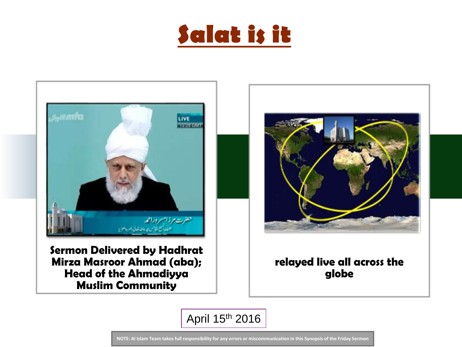



Sermon Delivered by Hadhrat Mirza Masroor Ahmad (aba); Head of the Ahmadiyya Muslim Community



### relayed live all across the globe

April 15th 2016

**NOTE: Al Islam Team takes full responsibility for any errors or miscommunication in this Synopsis of the Friday Sermon**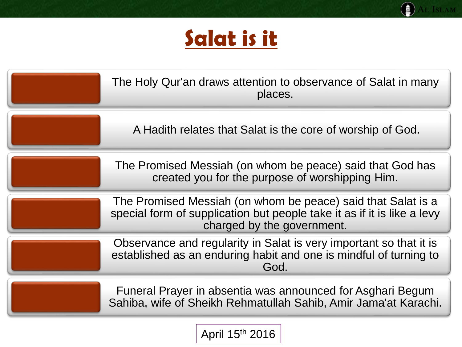

AL ISLAM

| The Holy Qur'an draws attention to observance of Salat in many<br>places.                                                                                             |
|-----------------------------------------------------------------------------------------------------------------------------------------------------------------------|
| A Hadith relates that Salat is the core of worship of God.                                                                                                            |
| The Promised Messiah (on whom be peace) said that God has<br>created you for the purpose of worshipping Him.                                                          |
| The Promised Messiah (on whom be peace) said that Salat is a<br>special form of supplication but people take it as if it is like a levy<br>charged by the government. |
| Observance and regularity in Salat is very important so that it is<br>established as an enduring habit and one is mindful of turning to<br>God.                       |
| Funeral Prayer in absentia was announced for Asghari Begum<br>Sahiba, wife of Sheikh Rehmatullah Sahib, Amir Jama'at Karachi.                                         |

April 15th 2016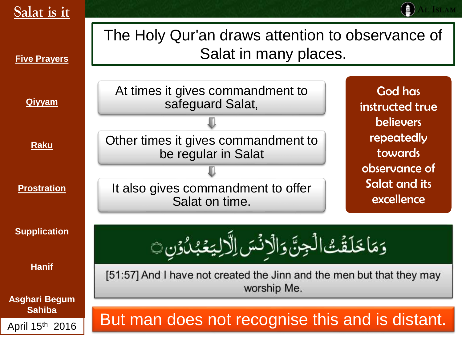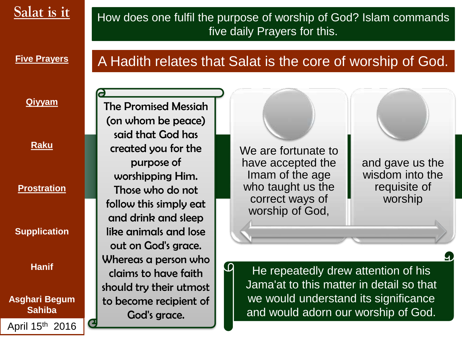### How does one fulfil the purpose of worship of God? Islam commands five daily Prayers for this.

**Five Prayers** 

## A Hadith relates that Salat is the core of worship of God.

### **Qiyyam**

**Raku**

**Prostration**

**Supplication** 

**Hanif**

**Asghari Begum Sahiba** April 15th 2016

The Promised Messiah (on whom be peace) said that God has created you for the purpose of worshipping Him. Those who do not follow this simply eat and drink and sleep like animals and lose out on God's grace. Whereas a person who claims to have faith should try their utmost to become recipient of God's grace.

We are fortunate to have accepted the Imam of the age who taught us the correct ways of worship of God,

 $\bm{\omega}$ 

and gave us the wisdom into the requisite of worship

He repeatedly drew attention of his Jama'at to this matter in detail so that we would understand its significance and would adorn our worship of God.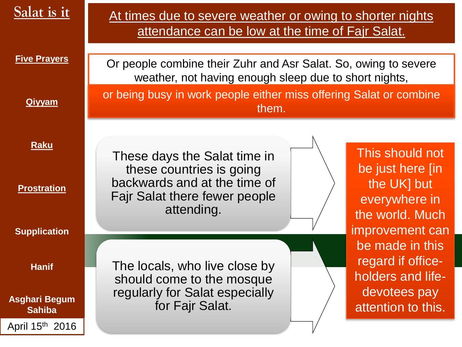| Salat is it                           | At times due to severe weather or owing to shorter nights<br>attendance can be low at the time of Fajr Salat. |
|---------------------------------------|---------------------------------------------------------------------------------------------------------------|
| <b>Five Prayers</b>                   | Or people combine their Zuhr and Asr Salat. So, owing to severe                                               |
|                                       | weather, not having enough sleep due to short nights,                                                         |
| <b>Qiyyam</b>                         | or being busy in work people either miss offering Salat or combine<br>them.                                   |
|                                       |                                                                                                               |
| <b>Raku</b>                           | This should not<br>These days the Salat time in                                                               |
| <b>Prostration</b>                    | be just here [in<br>these countries is going<br>backwards and at the time of<br>the UK] but                   |
|                                       | <b>Fajr Salat there fewer people</b><br>everywhere in<br>attending.<br>the world. Much                        |
| <b>Supplication</b>                   | improvement can                                                                                               |
|                                       | be made in this<br>regard if office-                                                                          |
| <b>Hanif</b>                          | The locals, who live close by<br>holders and life-<br>should come to the mosque                               |
| <b>Asghari Begum</b><br><b>Sahiba</b> | devotees pay<br>regularly for Salat especially<br>for Fajr Salat.<br>attention to this.                       |
| April 15th 2016                       |                                                                                                               |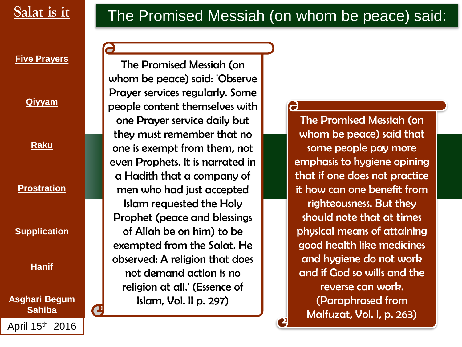

 $\overline{\phantom{a}}$ 

### **Five Prayers**

**Qiyyam**

**Raku**

**Prostration**

**Supplication** 

**Hanif**

**Asghari Begum Sahiba**

April 15th 2016

The Promised Messiah (on whom be peace) said: 'Observe Prayer services regularly. Some people content themselves with one Prayer service daily but they must remember that no one is exempt from them, not even Prophets. It is narrated in a Hadith that a company of men who had just accepted Islam requested the Holy Prophet (peace and blessings of Allah be on him) to be exempted from the Salat. He observed: A religion that does not demand action is no religion at all.' (Essence of Islam, Vol. II p. 297)

The Promised Messiah (on whom be peace) said that some people pay more emphasis to hygiene opining that if one does not practice it how can one benefit from righteousness. But they should note that at times physical means of attaining good health like medicines and hygiene do not work and if God so wills and the reverse can work. (Paraphrased from Malfuzat, Vol. I, p. 263)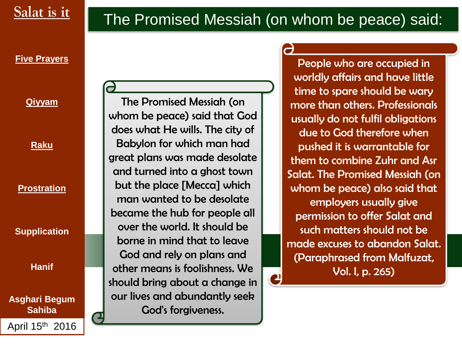# The Promised Messiah (on whom be peace) said:

 $\mathbf{C}$ 

### **Five Prayers**

### **Qiyyam**

**Raku**

### **Prostration**

**Supplication** 

**Hanif**

**Asghari Begum Sahiba** April 15th 2016

The Promised Messiah (on whom be peace) said that God does what He wills. The city of Babylon for which man had great plans was made desolate and turned into a ghost town but the place [Mecca] which man wanted to be desolate became the hub for people all over the world. It should be borne in mind that to leave God and rely on plans and other means is foolishness. We should bring about a change in our lives and abundantly seek God's forgiveness.

### People who are occupied in worldly affairs and have little time to spare should be wary more than others. Professionals usually do not fulfil obligations due to God therefore when pushed it is warrantable for them to combine Zuhr and Asr Salat. The Promised Messiah (on whom be peace) also said that employers usually give permission to offer Salat and such matters should not be made excuses to abandon Salat. (Paraphrased from Malfuzat, Vol. I, p. 265)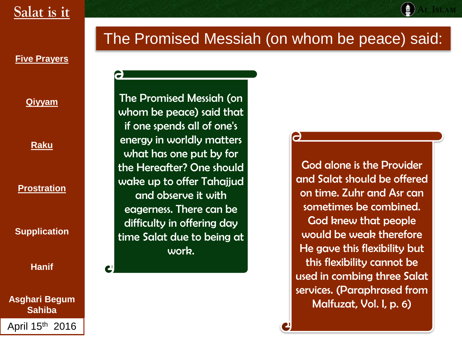## The Promised Messiah (on whom be peace) said:

**Five Prayers** 

**Qiyyam**

**Raku**

**Prostration**

**Supplication** 

**Hanif**

**Asghari Begum Sahiba** April 15th 2016

The Promised Messiah (on whom be peace) said that if one spends all of one's energy in worldly matters what has one put by for the Hereafter? One should wake up to offer Tahajjud and observe it with eagerness. There can be difficulty in offering day time Salat due to being at work.

God alone is the Provider and Salat should be offered on time. Zuhr and Asr can sometimes be combined. God knew that people would be weak therefore He gave this flexibility but this flexibility cannot be used in combing three Salat services. (Paraphrased from Malfuzat, Vol. I, p. 6)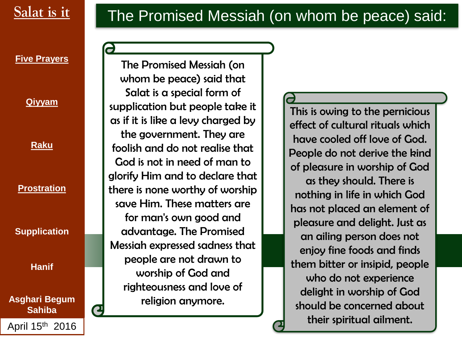

**Qiyyam**

**Raku**

**Prostration**

**Supplication** 

**Hanif**

**Asghari Begum Sahiba**

April 15th 2016

Salat is it **The Promised Messiah (on whom be peace) said:** 

The Promised Messiah (on whom be peace) said that Salat is a special form of supplication but people take it as if it is like a levy charged by the government. They are foolish and do not realise that God is not in need of man to glorify Him and to declare that there is none worthy of worship save Him. These matters are for man's own good and advantage. The Promised Messiah expressed sadness that people are not drawn to worship of God and righteousness and love of religion anymore.

This is owing to the pernicious effect of cultural rituals which have cooled off love of God. People do not derive the kind

of pleasure in worship of God as they should. There is nothing in life in which God has not placed an element of pleasure and delight. Just as an ailing person does not enjoy fine foods and finds them bitter or insipid, people who do not experience delight in worship of God should be concerned about their spiritual ailment.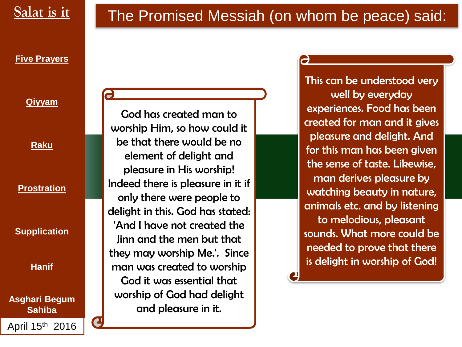

a

### **Five Prayers**

### **Qiyyam**

**Raku**

**Prostration**

**Supplication** 

**Hanif**

**Asghari Begum Sahiba** April 15th 2016

God has created man to worship Him, so how could it be that there would be no element of delight and pleasure in His worship! Indeed there is pleasure in it if only there were people to delight in this. God has stated: 'And I have not created the Jinn and the men but that they may worship Me.'. Since man was created to worship God it was essential that worship of God had delight and pleasure in it.

This can be understood very well by everyday experiences. Food has been created for man and it gives pleasure and delight. And for this man has been given the sense of taste. Likewise, man derives pleasure by watching beauty in nature, animals etc. and by listening to melodious, pleasant sounds. What more could be needed to prove that there is delight in worship of God!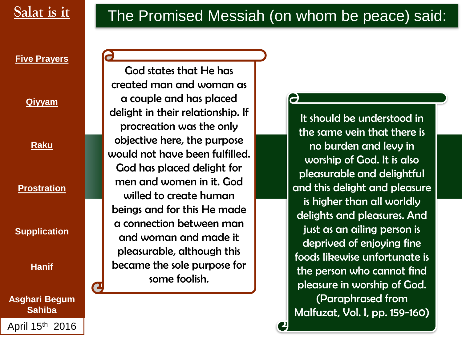### **Five Prayers**

**Qiyyam**

**Raku**

### **Prostration**

**Supplication** 

**Hanif**

**Asghari Begum Sahiba** April 15th 2016

God states that He has created man and woman as a couple and has placed delight in their relationship. If procreation was the only objective here, the purpose would not have been fulfilled. God has placed delight for men and women in it. God willed to create human beings and for this He made a connection between man and woman and made it pleasurable, although this became the sole purpose for some foolish.

It should be understood in the same vein that there is no burden and levy in worship of God. It is also pleasurable and delightful and this delight and pleasure is higher than all worldly delights and pleasures. And just as an ailing person is deprived of enjoying fine foods likewise unfortunate is the person who cannot find pleasure in worship of God. (Paraphrased from Malfuzat, Vol. I, pp. 159-160)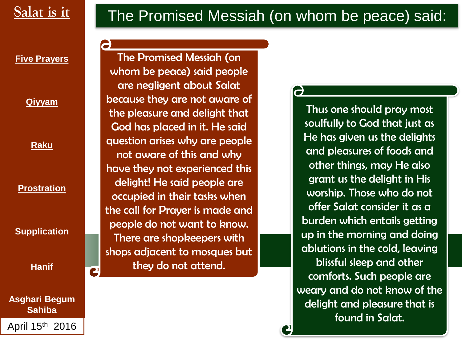**Qiyyam**

**Raku**

**Prostration**

**Supplication** 

**Hanif**

**Asghari Begum Sahiba** April 15th 2016

## Salat is it **The Promised Messiah (on whom be peace) said:**

The Promised Messiah (on whom be peace) said people are negligent about Salat because they are not aware of the pleasure and delight that God has placed in it. He said question arises why are people not aware of this and why have they not experienced this delight! He said people are occupied in their tasks when the call for Prayer is made and people do not want to know. There are shopkeepers with shops adjacent to mosques but they do not attend.

### $\overline{\mathbf{C}}$

Thus one should pray most soulfully to God that just as He has given us the delights and pleasures of foods and other things, may He also grant us the delight in His worship. Those who do not offer Salat consider it as a burden which entails getting up in the morning and doing ablutions in the cold, leaving blissful sleep and other comforts. Such people are weary and do not know of the delight and pleasure that is found in Salat.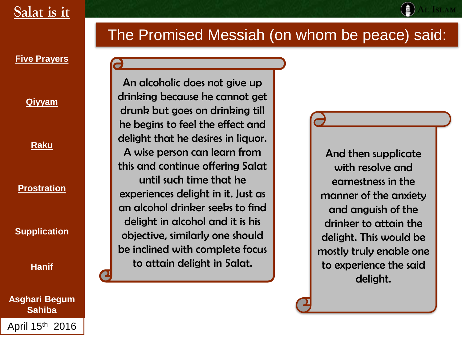## The Promised Messiah (on whom be peace) said:

**Five Prayers** 

**Qiyyam**

**Raku**

**Prostration**

**Supplication** 

**Hanif**

**Asghari Begum Sahiba** April 15th 2016

An alcoholic does not give up drinking because he cannot get drunk but goes on drinking till he begins to feel the effect and delight that he desires in liquor. A wise person can learn from this and continue offering Salat until such time that he experiences delight in it. Just as an alcohol drinker seeks to find delight in alcohol and it is his objective, similarly one should be inclined with complete focus to attain delight in Salat.

And then supplicate with resolve and earnestness in the manner of the anxiety and anguish of the drinker to attain the delight. This would be mostly truly enable one to experience the said delight.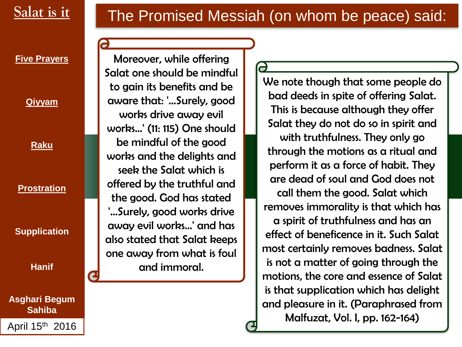

### **Five Prayers**

**Qiyyam**

**Raku**

### **Prostration**

**Supplication** 

**Hanif**

**Asghari Begum Sahiba**

April 15th 2016

### Moreover, while offering Salat one should be mindful to gain its benefits and be aware that: '…Surely, good works drive away evil works…' (11: 115) One should be mindful of the good works and the delights and seek the Salat which is offered by the truthful and the good. God has stated '…Surely, good works drive away evil works…' and has also stated that Salat keeps one away from what is foul and immoral.

### We note though that some people do bad deeds in spite of offering Salat. This is because although they offer Salat they do not do so in spirit and with truthfulness. They only go through the motions as a ritual and perform it as a force of habit. They are dead of soul and God does not call them the good. Salat which removes immorality is that which has a spirit of truthfulness and has an effect of beneficence in it. Such Salat most certainly removes badness. Salat is not a matter of going through the motions, the core and essence of Salat is that supplication which has delight and pleasure in it. (Paraphrased from Malfuzat, Vol. I, pp. 162-164)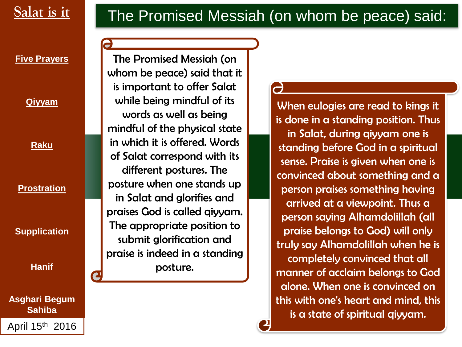### **Five Prayers**

**Qiyyam**

**Raku**

**Prostration**

**Supplication** 

**Hanif**

**Asghari Begum Sahiba**

April 15th 2016

The Promised Messiah (on whom be peace) said that it is important to offer Salat while being mindful of its words as well as being mindful of the physical state in which it is offered. Words of Salat correspond with its different postures. The posture when one stands up in Salat and glorifies and praises God is called qiyyam. The appropriate position to submit glorification and praise is indeed in a standing posture.

When eulogies are read to kings it is done in a standing position. Thus in Salat, during qiyyam one is standing before God in a spiritual sense. Praise is given when one is convinced about something and a person praises something having arrived at a viewpoint. Thus a person saying Alhamdolillah (all praise belongs to God) will only truly say Alhamdolillah when he is completely convinced that all manner of acclaim belongs to God alone. When one is convinced on this with one's heart and mind, this is a state of spiritual qiyyam.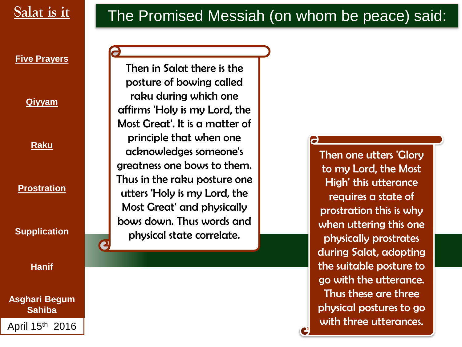

**Qiyyam**

**Raku**

**Prostration**

**Supplication** 

**Hanif**

**Asghari Begum Sahiba** April 15th 2016

Then in Salat there is the posture of bowing called raku during which one affirms 'Holy is my Lord, the Most Great'. It is a matter of principle that when one acknowledges someone's greatness one bows to them. Thus in the raku posture one utters 'Holy is my Lord, the Most Great' and physically bows down. Thus words and physical state correlate.

# Salat is it **The Promised Messiah (on whom be peace) said:**

 $\rightarrow$ 

Then one utters 'Glory to my Lord, the Most High' this utterance requires a state of prostration this is why when uttering this one physically prostrates during Salat, adopting the suitable posture to go with the utterance. Thus these are three physical postures to go with three utterances.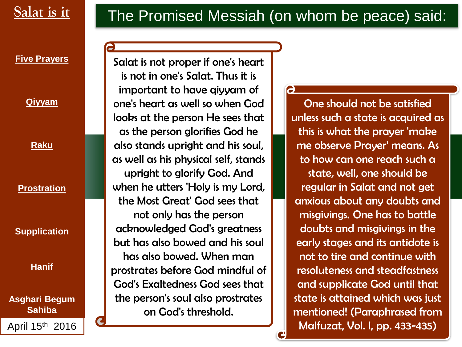

**Qiyyam**

**Raku**

**Prostration**

**Supplication** 

**Hanif**

**Asghari Begum Sahiba** April 15th 2016

Salat is it **The Promised Messiah (on whom be peace) said:** 

Salat is not proper if one's heart is not in one's Salat. Thus it is important to have qiyyam of one's heart as well so when God looks at the person He sees that as the person glorifies God he also stands upright and his soul, as well as his physical self, stands upright to glorify God. And when he utters 'Holy is my Lord, the Most Great' God sees that not only has the person acknowledged God's greatness but has also bowed and his soul has also bowed. When man prostrates before God mindful of God's Exaltedness God sees that the person's soul also prostrates on God's threshold.

a

One should not be satisfied unless such a state is acquired as this is what the prayer 'make me observe Prayer' means. As to how can one reach such a state, well, one should be regular in Salat and not get anxious about any doubts and misgivings. One has to battle doubts and misgivings in the early stages and its antidote is not to tire and continue with resoluteness and steadfastness and supplicate God until that state is attained which was just mentioned! (Paraphrased from Malfuzat, Vol. I, pp. 433-435)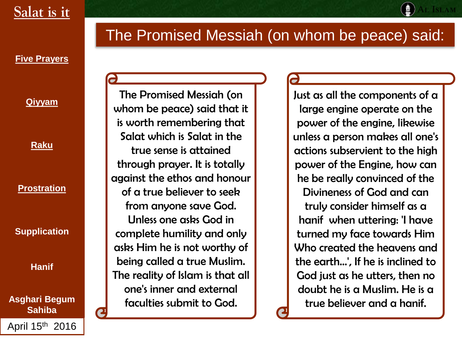## The Promised Messiah (on whom be peace) said:

**Five Prayers** 

**Qiyyam**

**Raku**

**Prostration**

**Supplication** 

**Hanif**

**Asghari Begum Sahiba** April 15th 2016

The Promised Messiah (on whom be peace) said that it is worth remembering that Salat which is Salat in the true sense is attained through prayer. It is totally against the ethos and honour of a true believer to seek from anyone save God. Unless one asks God in complete humility and only asks Him he is not worthy of being called a true Muslim. The reality of Islam is that all one's inner and external faculties submit to God.

Just as all the components of a large engine operate on the power of the engine, likewise unless a person makes all one's actions subservient to the high power of the Engine, how can he be really convinced of the Divineness of God and can truly consider himself as a hanif when uttering: 'I have turned my face towards Him Who created the heavens and the earth…', If he is inclined to God just as he utters, then no doubt he is a Muslim. He is a true believer and a hanif.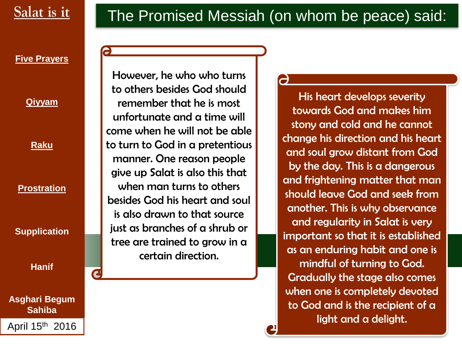

#### **Five Prayers**

**Qiyyam**

**Raku**

**Prostration**

**Supplication** 

**Hanif**

**Asghari Begum Sahiba** April 15th 2016

However, he who who turns to others besides God should remember that he is most unfortunate and a time will come when he will not be able to turn to God in a pretentious manner. One reason people give up Salat is also this that when man turns to others besides God his heart and soul is also drawn to that source just as branches of a shrub or tree are trained to grow in a certain direction.

His heart develops severity towards God and makes him stony and cold and he cannot change his direction and his heart and soul grow distant from God by the day. This is a dangerous and frightening matter that man should leave God and seek from another. This is why observance and regularity in Salat is very important so that it is established as an enduring habit and one is mindful of turning to God. Gradually the stage also comes when one is completely devoted to God and is the recipient of a light and a delight.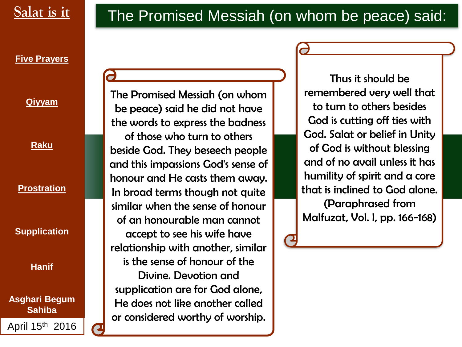### **Five Prayers**

**Qiyyam**

**Raku**

**Prostration**

**Supplication** 

**Hanif**

**Asghari Begum Sahiba**

April 15th 2016

The Promised Messiah (on whom be peace) said he did not have the words to express the badness of those who turn to others beside God. They beseech people and this impassions God's sense of honour and He casts them away. In broad terms though not quite similar when the sense of honour of an honourable man cannot accept to see his wife have relationship with another, similar is the sense of honour of the Divine. Devotion and supplication are for God alone, He does not like another called or considered worthy of worship.

Thus it should be remembered very well that to turn to others besides God is cutting off ties with God. Salat or belief in Unity of God is without blessing and of no avail unless it has humility of spirit and a core that is inclined to God alone. (Paraphrased from Malfuzat, Vol. I, pp. 166-168)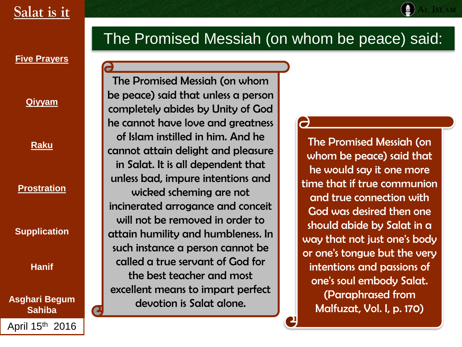### **Five Prayers**

**Qiyyam**

**Raku**

#### **Prostration**

**Supplication** 

**Hanif**

**Asghari Begum Sahiba**

April 15th 2016

### The Promised Messiah (on whom be peace) said:

The Promised Messiah (on whom be peace) said that unless a person completely abides by Unity of God he cannot have love and greatness of Islam instilled in him. And he cannot attain delight and pleasure in Salat. It is all dependent that unless bad, impure intentions and wicked scheming are not incinerated arrogance and conceit will not be removed in order to attain humility and humbleness. In such instance a person cannot be called a true servant of God for the best teacher and most excellent means to impart perfect devotion is Salat alone.

The Promised Messiah (on whom be peace) said that he would say it one more time that if true communion and true connection with God was desired then one should abide by Salat in a way that not just one's body or one's tongue but the very intentions and passions of one's soul embody Salat. (Paraphrased from Malfuzat, Vol. I, p. 170)